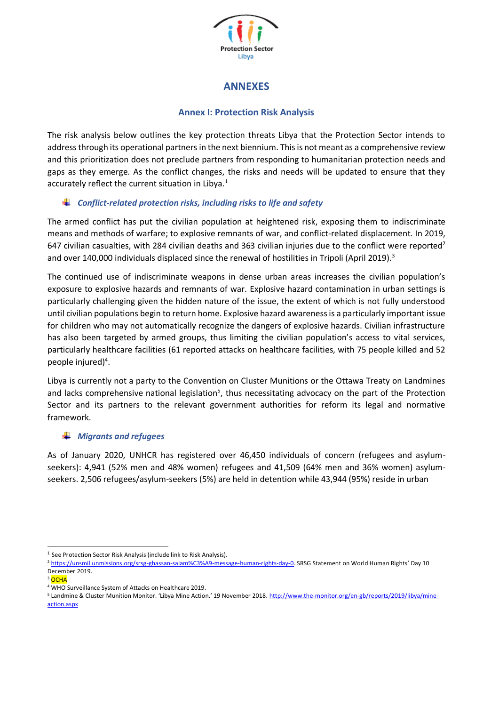

## **ANNEXES**

## **Annex I: Protection Risk Analysis**

The risk analysis below outlines the key protection threats Libya that the Protection Sector intends to address through its operational partners in the next biennium. This is not meant as a comprehensive review and this prioritization does not preclude partners from responding to humanitarian protection needs and gaps as they emerge. As the conflict changes, the risks and needs will be updated to ensure that they accurately reflect the current situation in Libya.<sup>1</sup>

## *Conflict-related protection risks, including risks to life and safety*

The armed conflict has put the civilian population at heightened risk, exposing them to indiscriminate means and methods of warfare; to explosive remnants of war, and conflict-related displacement. In 2019, 647 civilian casualties, with 284 civilian deaths and 363 civilian injuries due to the conflict were reported<sup>2</sup> and over 140,000 individuals displaced since the renewal of hostilities in Tripoli (April 2019).<sup>3</sup>

The continued use of indiscriminate weapons in dense urban areas increases the civilian population's exposure to explosive hazards and remnants of war. Explosive hazard contamination in urban settings is particularly challenging given the hidden nature of the issue, the extent of which is not fully understood until civilian populations begin to return home. Explosive hazard awareness is a particularly important issue for children who may not automatically recognize the dangers of explosive hazards. Civilian infrastructure has also been targeted by armed groups, thus limiting the civilian population's access to vital services, particularly healthcare facilities (61 reported attacks on healthcare facilities, with 75 people killed and 52 people injured) 4 .

Libya is currently not a party to the Convention on Cluster Munitions or the Ottawa Treaty on Landmines and lacks comprehensive national legislation<sup>5</sup>, thus necessitating advocacy on the part of the Protection Sector and its partners to the relevant government authorities for reform its legal and normative framework.

## *Migrants and refugees*

As of January 2020, UNHCR has registered over 46,450 individuals of concern (refugees and asylumseekers): 4,941 (52% men and 48% women) refugees and 41,509 (64% men and 36% women) asylumseekers. 2,506 refugees/asylum-seekers (5%) are held in detention while 43,944 (95%) reside in urban

<sup>&</sup>lt;sup>1</sup> See Protection Sector Risk Analysis (include link to Risk Analysis).

<sup>&</sup>lt;sup>2</sup> <https://unsmil.unmissions.org/srsg-ghassan-salam%C3%A9-message-human-rights-day-0></u>. SRSG Statement on World Human Rights' Day 10 December 2019.

 $3$  OCHA

<sup>4</sup> WHO Surveillance System of Attacks on Healthcare 2019.

<sup>5</sup> Landmine & Cluster Munition Monitor. 'Libya Mine Action.' 19 November 2018. [http://www.the-monitor.org/en-gb/reports/2019/libya/mine](http://www.the-monitor.org/en-gb/reports/2019/libya/mine-action.aspx)[action.aspx](http://www.the-monitor.org/en-gb/reports/2019/libya/mine-action.aspx)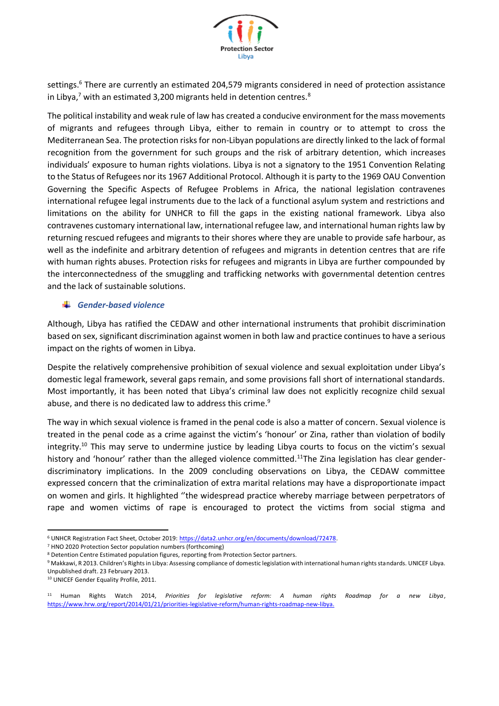

settings.<sup>6</sup> There are currently an estimated 204,579 migrants considered in need of protection assistance in Libya, $7$  with an estimated 3,200 migrants held in detention centres. $8$ 

The political instability and weak rule of law has created a conducive environment for the mass movements of migrants and refugees through Libya, either to remain in country or to attempt to cross the Mediterranean Sea. The protection risks for non-Libyan populations are directly linked to the lack of formal recognition from the government for such groups and the risk of arbitrary detention, which increases individuals' exposure to human rights violations. Libya is not a signatory to the 1951 Convention Relating to the Status of Refugees nor its 1967 Additional Protocol. Although it is party to the 1969 OAU Convention Governing the Specific Aspects of Refugee Problems in Africa, the national legislation contravenes international refugee legal instruments due to the lack of a functional asylum system and restrictions and limitations on the ability for UNHCR to fill the gaps in the existing national framework. Libya also contravenes customary international law, international refugee law, and international human rights law by returning rescued refugees and migrants to their shores where they are unable to provide safe harbour, as well as the indefinite and arbitrary detention of refugees and migrants in detention centres that are rife with human rights abuses. Protection risks for refugees and migrants in Libya are further compounded by the interconnectedness of the smuggling and trafficking networks with governmental detention centres and the lack of sustainable solutions.

## *Gender-based violence*

Although, Libya has ratified the CEDAW and other international instruments that prohibit discrimination based on sex, significant discrimination against women in both law and practice continues to have a serious impact on the rights of women in Libya.

Despite the relatively comprehensive prohibition of sexual violence and sexual exploitation under Libya's domestic legal framework, several gaps remain, and some provisions fall short of international standards. Most importantly, it has been noted that Libya's criminal law does not explicitly recognize child sexual abuse, and there is no dedicated law to address this crime.<sup>9</sup>

The way in which sexual violence is framed in the penal code is also a matter of concern. Sexual violence is treated in the penal code as a crime against the victim's 'honour' or Zina, rather than violation of bodily integrity.<sup>10</sup> This may serve to undermine justice by leading Libya courts to focus on the victim's sexual history and 'honour' rather than the alleged violence committed.<sup>11</sup>The Zina legislation has clear genderdiscriminatory implications. In the 2009 concluding observations on Libya, the CEDAW committee expressed concern that the criminalization of extra marital relations may have a disproportionate impact on women and girls. It highlighted ''the widespread practice whereby marriage between perpetrators of rape and women victims of rape is encouraged to protect the victims from social stigma and

<sup>10</sup> UNICEF Gender Equality Profile, 2011.

<sup>6</sup> UNHCR Registration Fact Sheet, October 2019: [https://data2.unhcr.org/en/documents/download/72478.](https://data2.unhcr.org/en/documents/download/72478)

<sup>7</sup> HNO 2020 Protection Sector population numbers (forthcoming)

<sup>8</sup> Detention Centre Estimated population figures, reporting from Protection Sector partners.

<sup>9</sup> Makkawi, R 2013. Children's Rights in Libya: Assessing compliance of domestic legislation with international human rights standards. UNICEF Libya. Unpublished draft. 23 February 2013.

<sup>11</sup> Human Rights Watch 2014, *Priorities for legislative reform: A human rights Roadmap for a new Libya*, [https://www.hrw.org/report/2014/01/21/priorities-legislative-reform/human-rights-roadmap-new-libya.](https://www.hrw.org/report/2014/01/21/priorities-legislative-reform/human-rights-roadmap-new-libya)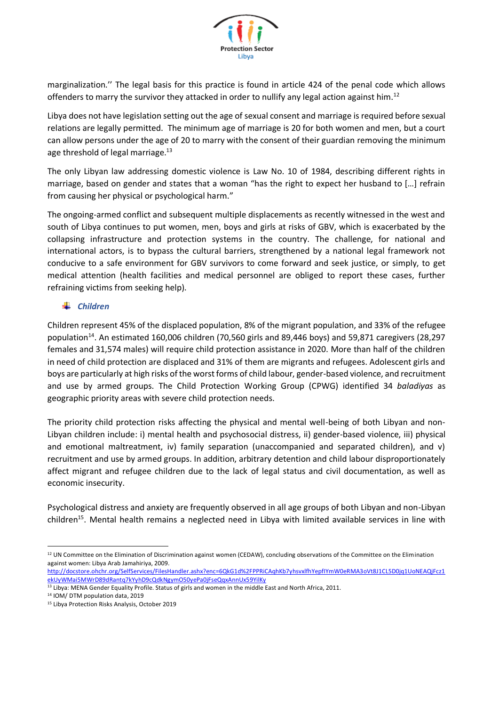

marginalization.'' The legal basis for this practice is found in article 424 of the penal code which allows offenders to marry the survivor they attacked in order to nullify any legal action against him.<sup>12</sup>

Libya does not have legislation setting out the age of sexual consent and marriage is required before sexual relations are legally permitted. The minimum age of marriage is 20 for both women and men, but a court can allow persons under the age of 20 to marry with the consent of their guardian removing the minimum age threshold of legal marriage.<sup>13</sup>

The only Libyan law addressing domestic violence is Law No. 10 of 1984, describing different rights in marriage, based on gender and states that a woman "has the right to expect her husband to […] refrain from causing her physical or psychological harm."

The ongoing-armed conflict and subsequent multiple displacements as recently witnessed in the west and south of Libya continues to put women, men, boys and girls at risks of GBV, which is exacerbated by the collapsing infrastructure and protection systems in the country. The challenge, for national and international actors, is to bypass the cultural barriers, strengthened by a national legal framework not conducive to a safe environment for GBV survivors to come forward and seek justice, or simply, to get medical attention (health facilities and medical personnel are obliged to report these cases, further refraining victims from seeking help).

## *Children*

Children represent 45% of the displaced population, 8% of the migrant population, and 33% of the refugee population<sup>14</sup>. An estimated 160,006 children (70,560 girls and 89,446 boys) and 59,871 caregivers (28,297 females and 31,574 males) will require child protection assistance in 2020. More than half of the children in need of child protection are displaced and 31% of them are migrants and refugees. Adolescent girls and boys are particularly at high risks of the worst forms of child labour, gender-based violence, and recruitment and use by armed groups. The Child Protection Working Group (CPWG) identified 34 *baladiyas* as geographic priority areas with severe child protection needs.

The priority child protection risks affecting the physical and mental well-being of both Libyan and non-Libyan children include: i) mental health and psychosocial distress, ii) gender-based violence, iii) physical and emotional maltreatment, iv) family separation (unaccompanied and separated children), and v) recruitment and use by armed groups. In addition, arbitrary detention and child labour disproportionately affect migrant and refugee children due to the lack of legal status and civil documentation, as well as economic insecurity.

Psychological distress and anxiety are frequently observed in all age groups of both Libyan and non-Libyan children<sup>15</sup>. Mental health remains a neglected need in Libya with limited available services in line with

<sup>&</sup>lt;sup>12</sup> UN Committee on the Elimination of Discrimination against women (CEDAW), concluding observations of the Committee on the Elimination against women: Libya Arab Jamahiriya, 2009.

[http://docstore.ohchr.org/SelfServices/FilesHandler.ashx?enc=6QkG1d%2FPPRiCAqhKb7yhsvxlfhYepfIYmW0eRMA3oVt8J1CL5D0jq1UoNEAQjFcz1](http://docstore.ohchr.org/SelfServices/FilesHandler.ashx?enc=6QkG1d%2FPPRiCAqhKb7yhsvxlfhYepfIYmW0eRMA3oVt8J1CL5D0jq1UoNEAQjFcz1ekUyWMai5MWrD89dRantq7kYyhD9cQdkNgymO50yePa0jFseQqxAnnUx59YilKy) [ekUyWMai5MWrD89dRantq7kYyhD9cQdkNgymO50yePa0jFseQqxAnnUx59YilKy](http://docstore.ohchr.org/SelfServices/FilesHandler.ashx?enc=6QkG1d%2FPPRiCAqhKb7yhsvxlfhYepfIYmW0eRMA3oVt8J1CL5D0jq1UoNEAQjFcz1ekUyWMai5MWrD89dRantq7kYyhD9cQdkNgymO50yePa0jFseQqxAnnUx59YilKy)

<sup>&</sup>lt;sup>13</sup> Libya: MENA Gender Equality Profile. Status of girls and women in the middle East and North Africa, 2011.

<sup>14</sup> IOM/ DTM population data, 2019

<sup>15</sup> Libya Protection Risks Analysis, October 2019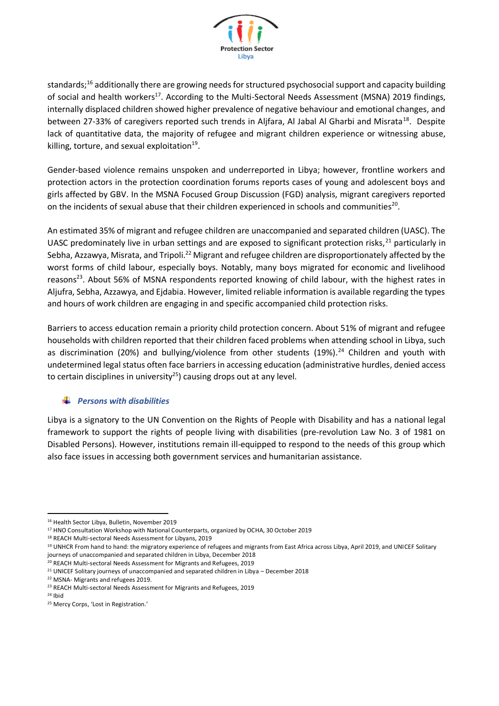

standards;<sup>16</sup> additionally there are growing needs for structured psychosocial support and capacity building of social and health workers<sup>17</sup>. According to the Multi-Sectoral Needs Assessment (MSNA) 2019 findings, internally displaced children showed higher prevalence of negative behaviour and emotional changes, and between 27-33% of caregivers reported such trends in Aljfara, Al Jabal Al Gharbi and Misrata<sup>18</sup>. Despite lack of quantitative data, the majority of refugee and migrant children experience or witnessing abuse, killing, torture, and sexual exploitation $^{19}$ .

Gender-based violence remains unspoken and underreported in Libya; however, frontline workers and protection actors in the protection coordination forums reports cases of young and adolescent boys and girls affected by GBV. In the MSNA Focused Group Discussion (FGD) analysis, migrant caregivers reported on the incidents of sexual abuse that their children experienced in schools and communities<sup>20</sup>.

An estimated 35% of migrant and refugee children are unaccompanied and separated children (UASC). The UASC predominately live in urban settings and are exposed to significant protection risks,<sup>21</sup> particularly in Sebha, Azzawya, Misrata, and Tripoli.<sup>22</sup> Migrant and refugee children are disproportionately affected by the worst forms of child labour, especially boys. Notably, many boys migrated for economic and livelihood reasons<sup>23</sup>. About 56% of MSNA respondents reported knowing of child labour, with the highest rates in Aljufra, Sebha, Azzawya, and Ejdabia. However, limited reliable information is available regarding the types and hours of work children are engaging in and specific accompanied child protection risks.

Barriers to access education remain a priority child protection concern. About 51% of migrant and refugee households with children reported that their children faced problems when attending school in Libya, such as discrimination (20%) and bullying/violence from other students (19%).<sup>24</sup> Children and youth with undetermined legal status often face barriers in accessing education (administrative hurdles, denied access to certain disciplines in university<sup>25</sup>) causing drops out at any level.

#### ÷ *Persons with disabilities*

Libya is a signatory to the UN Convention on the Rights of People with Disability and has a national legal framework to support the rights of people living with disabilities (pre-revolution Law No. 3 of 1981 on Disabled Persons). However, institutions remain ill-equipped to respond to the needs of this group which also face issues in accessing both government services and humanitarian assistance.

<sup>16</sup> Health Sector Libya, Bulletin, November 2019

<sup>17</sup> HNO Consultation Workshop with National Counterparts, organized by OCHA, 30 October 2019

<sup>18</sup> REACH Multi-sectoral Needs Assessment for Libyans, 2019

<sup>&</sup>lt;sup>19</sup> UNHCR From hand to hand: the migratory experience of refugees and migrants from East Africa across Libya, April 2019, and UNICEF Solitary journeys of unaccompanied and separated children in Libya, December 2018

<sup>20</sup> REACH Multi-sectoral Needs Assessment for Migrants and Refugees, 2019

 $21$  UNICEF Solitary journeys of unaccompanied and separated children in Libya – December 2018

<sup>22</sup> MSNA- Migrants and refugees 2019.

<sup>&</sup>lt;sup>23</sup> REACH Multi-sectoral Needs Assessment for Migrants and Refugees, 2019

 $24$  Ihid

<sup>25</sup> Mercy Corps, 'Lost in Registration.'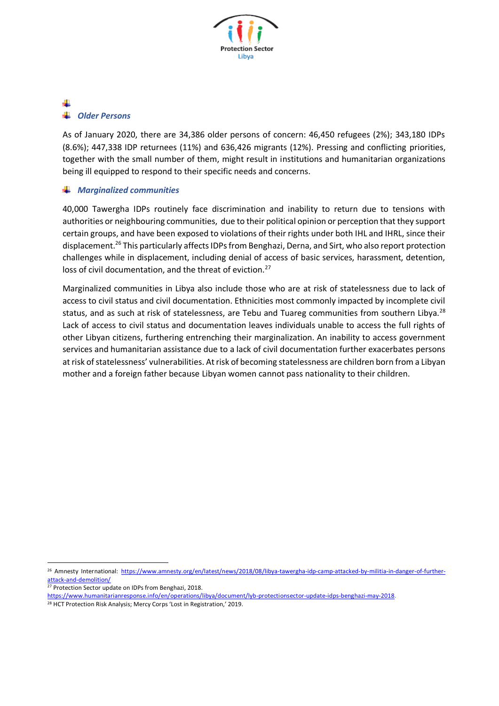

# *Older Persons*

As of January 2020, there are 34,386 older persons of concern: 46,450 refugees (2%); 343,180 IDPs (8.6%); 447,338 IDP returnees (11%) and 636,426 migrants (12%). Pressing and conflicting priorities, together with the small number of them, might result in institutions and humanitarian organizations being ill equipped to respond to their specific needs and concerns.

## *Marginalized communities*

40,000 Tawergha IDPs routinely face discrimination and inability to return due to tensions with authorities or neighbouring communities, due to their political opinion or perception that they support certain groups, and have been exposed to violations of their rights under both IHL and IHRL, since their displacement.<sup>26</sup> This particularly affects IDPs from Benghazi, Derna, and Sirt, who also report protection challenges while in displacement, including denial of access of basic services, harassment, detention, loss of civil documentation, and the threat of eviction.<sup>27</sup>

Marginalized communities in Libya also include those who are at risk of statelessness due to lack of access to civil status and civil documentation. Ethnicities most commonly impacted by incomplete civil status, and as such at risk of statelessness, are Tebu and Tuareg communities from southern Libya.<sup>28</sup> Lack of access to civil status and documentation leaves individuals unable to access the full rights of other Libyan citizens, furthering entrenching their marginalization. An inability to access government services and humanitarian assistance due to a lack of civil documentation further exacerbates persons at risk of statelessness' vulnerabilities. At risk of becoming statelessness are children born from a Libyan mother and a foreign father because Libyan women cannot pass nationality to their children.

<sup>27</sup> Protection Sector update on IDPs from Benghazi, 2018.

<sup>26</sup> Amnesty International: [https://www.amnesty.org/en/latest/news/2018/08/libya-tawergha-idp-camp-attacked-by-militia-in-danger-of-further](https://www.amnesty.org/en/latest/news/2018/08/libya-tawergha-idp-camp-attacked-by-militia-in-danger-of-further-attack-and-demolition/)[attack-and-demolition/](https://www.amnesty.org/en/latest/news/2018/08/libya-tawergha-idp-camp-attacked-by-militia-in-danger-of-further-attack-and-demolition/)

[https://www.humanitarianresponse.info/en/operations/libya/document/lyb-protectionsector-update-idps-benghazi-may-2018.](https://www.humanitarianresponse.info/en/operations/libya/document/lyb-protectionsector-update-idps-benghazi-may-2018)

<sup>28</sup> HCT Protection Risk Analysis; Mercy Corps 'Lost in Registration,' 2019.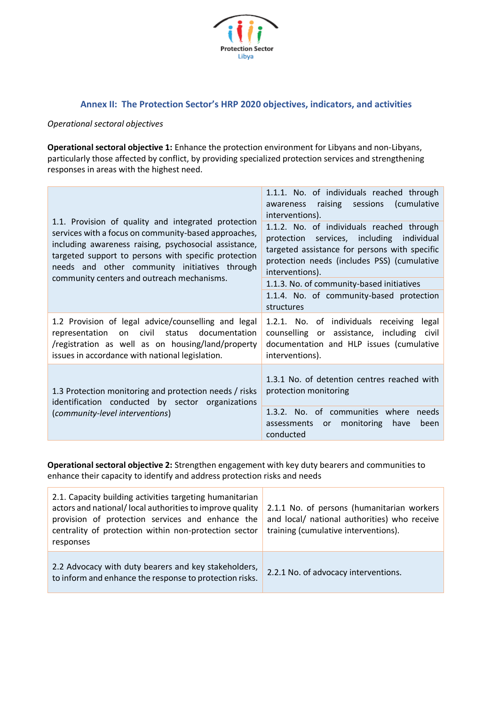

## **Annex II: The Protection Sector's HRP 2020 objectives, indicators, and activities**

## *Operational sectoral objectives*

**Operational sectoral objective 1:** Enhance the protection environment for Libyans and non-Libyans, particularly those affected by conflict, by providing specialized protection services and strengthening responses in areas with the highest need.

| 1.1. Provision of quality and integrated protection<br>services with a focus on community-based approaches,<br>including awareness raising, psychosocial assistance,<br>targeted support to persons with specific protection<br>needs and other community initiatives through<br>community centers and outreach mechanisms. | 1.1.1. No. of individuals reached through<br>awareness raising sessions (cumulative<br>interventions).<br>1.1.2. No. of individuals reached through<br>protection services, including individual<br>targeted assistance for persons with specific<br>protection needs (includes PSS) (cumulative<br>interventions). |
|-----------------------------------------------------------------------------------------------------------------------------------------------------------------------------------------------------------------------------------------------------------------------------------------------------------------------------|---------------------------------------------------------------------------------------------------------------------------------------------------------------------------------------------------------------------------------------------------------------------------------------------------------------------|
|                                                                                                                                                                                                                                                                                                                             | 1.1.3. No. of community-based initiatives                                                                                                                                                                                                                                                                           |
|                                                                                                                                                                                                                                                                                                                             | 1.1.4. No. of community-based protection<br>structures                                                                                                                                                                                                                                                              |
| 1.2 Provision of legal advice/counselling and legal<br>representation on civil status documentation<br>/registration as well as on housing/land/property<br>issues in accordance with national legislation.                                                                                                                 | 1.2.1. No. of individuals receiving<br>legal<br>counselling or assistance, including civil<br>documentation and HLP issues (cumulative<br>interventions).                                                                                                                                                           |
| 1.3 Protection monitoring and protection needs / risks<br>identification conducted by sector organizations<br>(community-level interventions)                                                                                                                                                                               | 1.3.1 No. of detention centres reached with<br>protection monitoring                                                                                                                                                                                                                                                |
|                                                                                                                                                                                                                                                                                                                             | 1.3.2. No. of communities where needs<br>monitoring have<br>assessments or<br>been<br>conducted                                                                                                                                                                                                                     |

**Operational sectoral objective 2:** Strengthen engagement with key duty bearers and communities to enhance their capacity to identify and address protection risks and needs

| 2.1. Capacity building activities targeting humanitarian<br>actors and national/local authorities to improve quality<br>provision of protection services and enhance the<br>centrality of protection within non-protection sector<br>responses | 2.1.1 No. of persons (humanitarian workers<br>and local/ national authorities) who receive<br>training (cumulative interventions). |
|------------------------------------------------------------------------------------------------------------------------------------------------------------------------------------------------------------------------------------------------|------------------------------------------------------------------------------------------------------------------------------------|
| 2.2 Advocacy with duty bearers and key stakeholders,<br>to inform and enhance the response to protection risks.                                                                                                                                | 2.2.1 No. of advocacy interventions.                                                                                               |